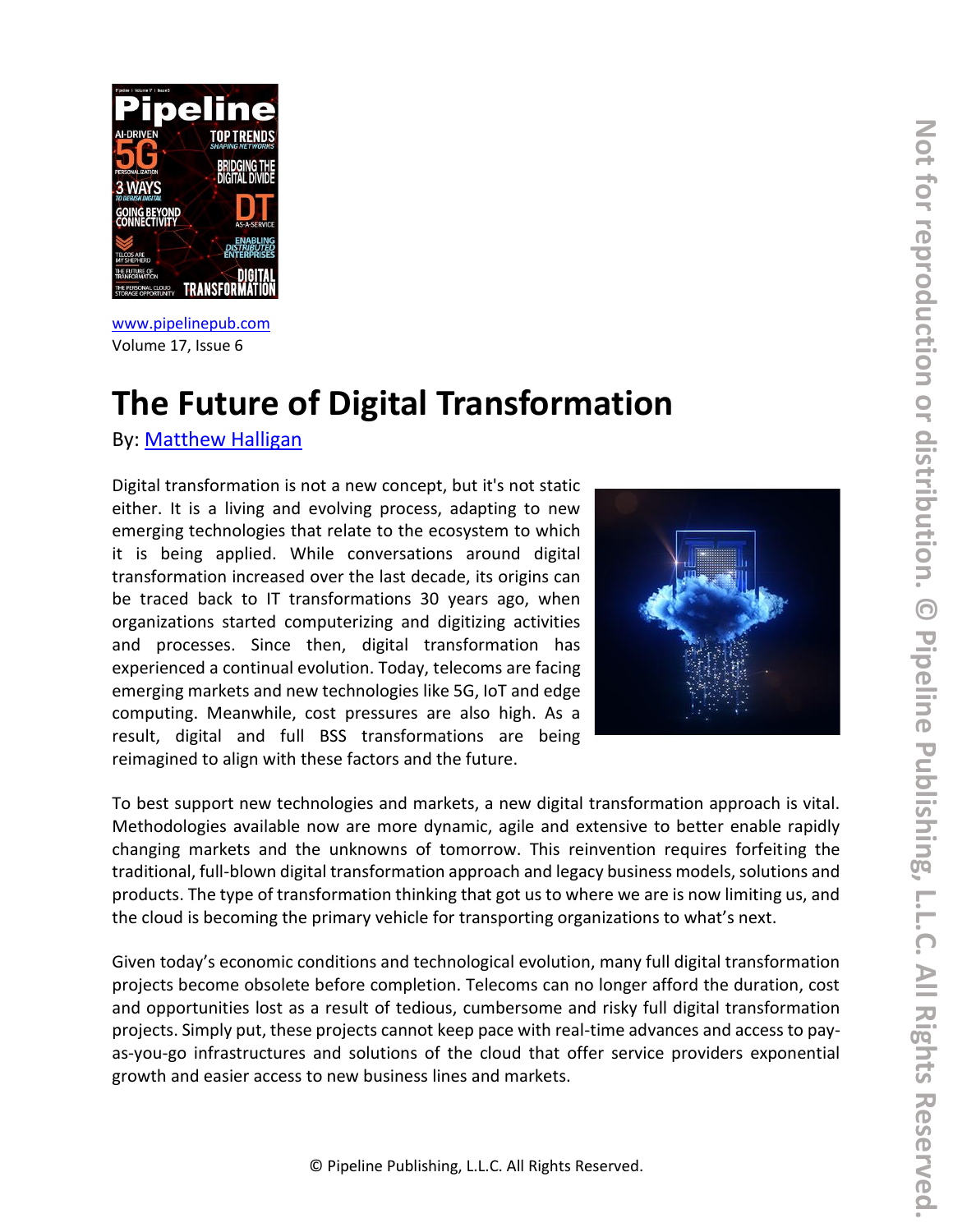

[www.pipelinepub.com](https://www.pipelinepub.com/240) Volume 17, Issue 6

# **The Future of Digital Transformation**

By: [Matthew Halligan](https://pipeline.pubspoke.com/contributors?issue_preview=240#Matthew-Halligan)

Digital transformation is not a new concept, but it's not static either. It is a living and evolving process, adapting to new emerging technologies that relate to the ecosystem to which it is being applied. While conversations around digital transformation increased over the last decade, its origins can be traced back to IT transformations 30 years ago, when organizations started computerizing and digitizing activities and processes. Since then, digital transformation has experienced a continual evolution. Today, telecoms are facing emerging markets and new technologies like 5G, IoT and edge computing. Meanwhile, cost pressures are also high. As a result, digital and full BSS transformations are being reimagined to align with these factors and the future.



To best support new technologies and markets, a new digital transformation approach is vital. Methodologies available now are more dynamic, agile and extensive to better enable rapidly changing markets and the unknowns of tomorrow. This reinvention requires forfeiting the traditional, full-blown digital transformation approach and legacy business models, solutions and products. The type of transformation thinking that got us to where we are is now limiting us, and the cloud is becoming the primary vehicle for transporting organizations to what's next.

Given today's economic conditions and technological evolution, many full digital transformation projects become obsolete before completion. Telecoms can no longer afford the duration, cost and opportunities lost as a result of tedious, cumbersome and risky full digital transformation projects. Simply put, these projects cannot keep pace with real-time advances and access to payas-you-go infrastructures and solutions of the cloud that offer service providers exponential growth and easier access to new business lines and markets.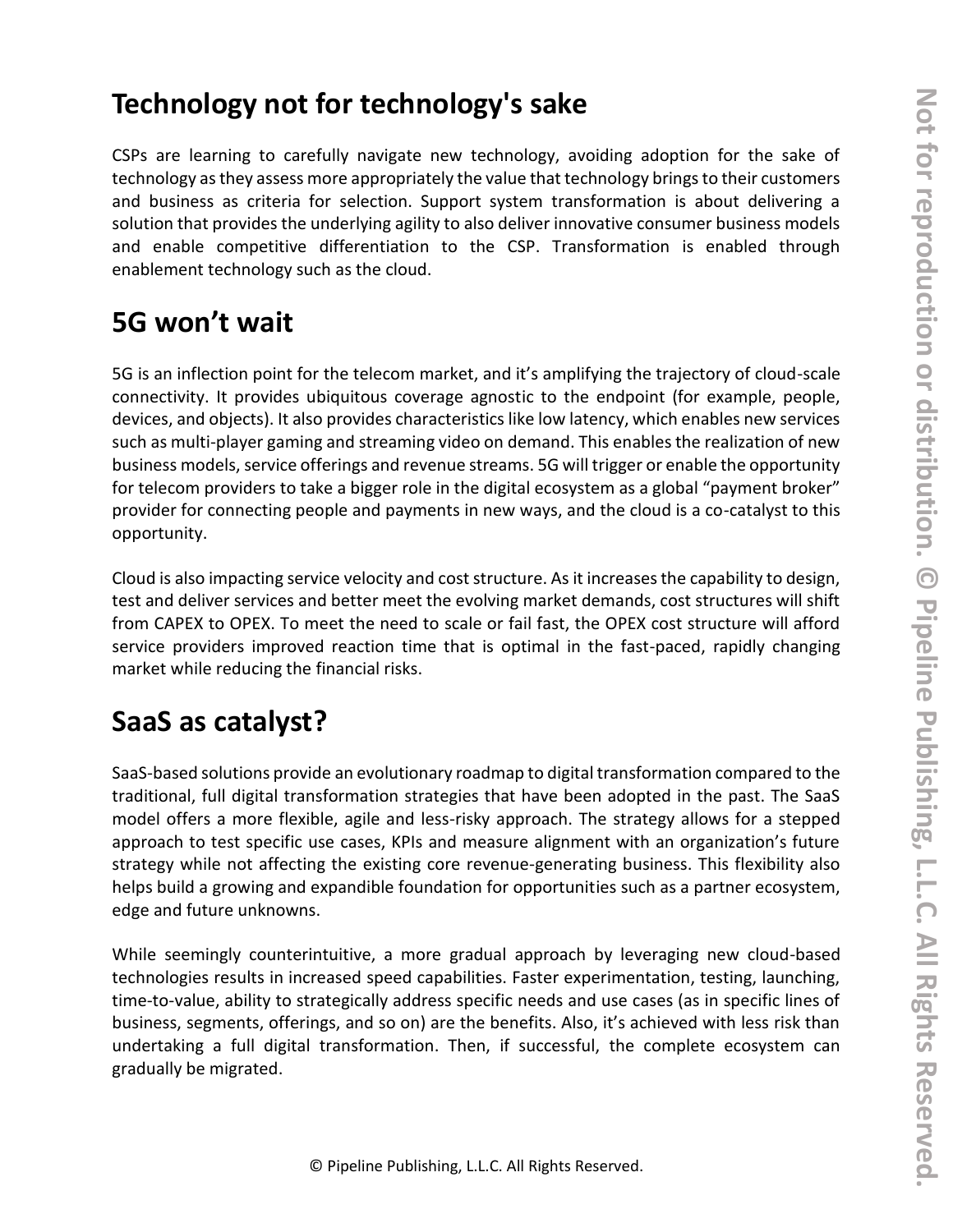# **Technology not for technology's sake**

CSPs are learning to carefully navigate new technology, avoiding adoption for the sake of technology as they assess more appropriately the value that technology brings to their customers and business as criteria for selection. Support system transformation is about delivering a solution that provides the underlying agility to also deliver innovative consumer business models and enable competitive differentiation to the CSP. Transformation is enabled through enablement technology such as the cloud.

# **5G won't wait**

5G is an inflection point for the telecom market, and it's amplifying the trajectory of cloud-scale connectivity. It provides ubiquitous coverage agnostic to the endpoint (for example, people, devices, and objects). It also provides characteristics like low latency, which enables new services such as multi-player gaming and streaming video on demand. This enables the realization of new business models, service offerings and revenue streams. 5G will trigger or enable the opportunity for telecom providers to take a bigger role in the digital ecosystem as a global "payment broker" provider for connecting people and payments in new ways, and the cloud is a co-catalyst to this opportunity.

Cloud is also impacting service velocity and cost structure. As it increases the capability to design, test and deliver services and better meet the evolving market demands, cost structures will shift from CAPEX to OPEX. To meet the need to scale or fail fast, the OPEX cost structure will afford service providers improved reaction time that is optimal in the fast-paced, rapidly changing market while reducing the financial risks.

# **SaaS as catalyst?**

SaaS-based solutions provide an evolutionary roadmap to digital transformation compared to the traditional, full digital transformation strategies that have been adopted in the past. The SaaS model offers a more flexible, agile and less-risky approach. The strategy allows for a stepped approach to test specific use cases, KPIs and measure alignment with an organization's future strategy while not affecting the existing core revenue-generating business. This flexibility also helps build a growing and expandible foundation for opportunities such as a partner ecosystem, edge and future unknowns.

While seemingly counterintuitive, a more gradual approach by leveraging new cloud-based technologies results in increased speed capabilities. Faster experimentation, testing, launching, time-to-value, ability to strategically address specific needs and use cases (as in specific lines of business, segments, offerings, and so on) are the benefits. Also, it's achieved with less risk than undertaking a full digital transformation. Then, if successful, the complete ecosystem can gradually be migrated.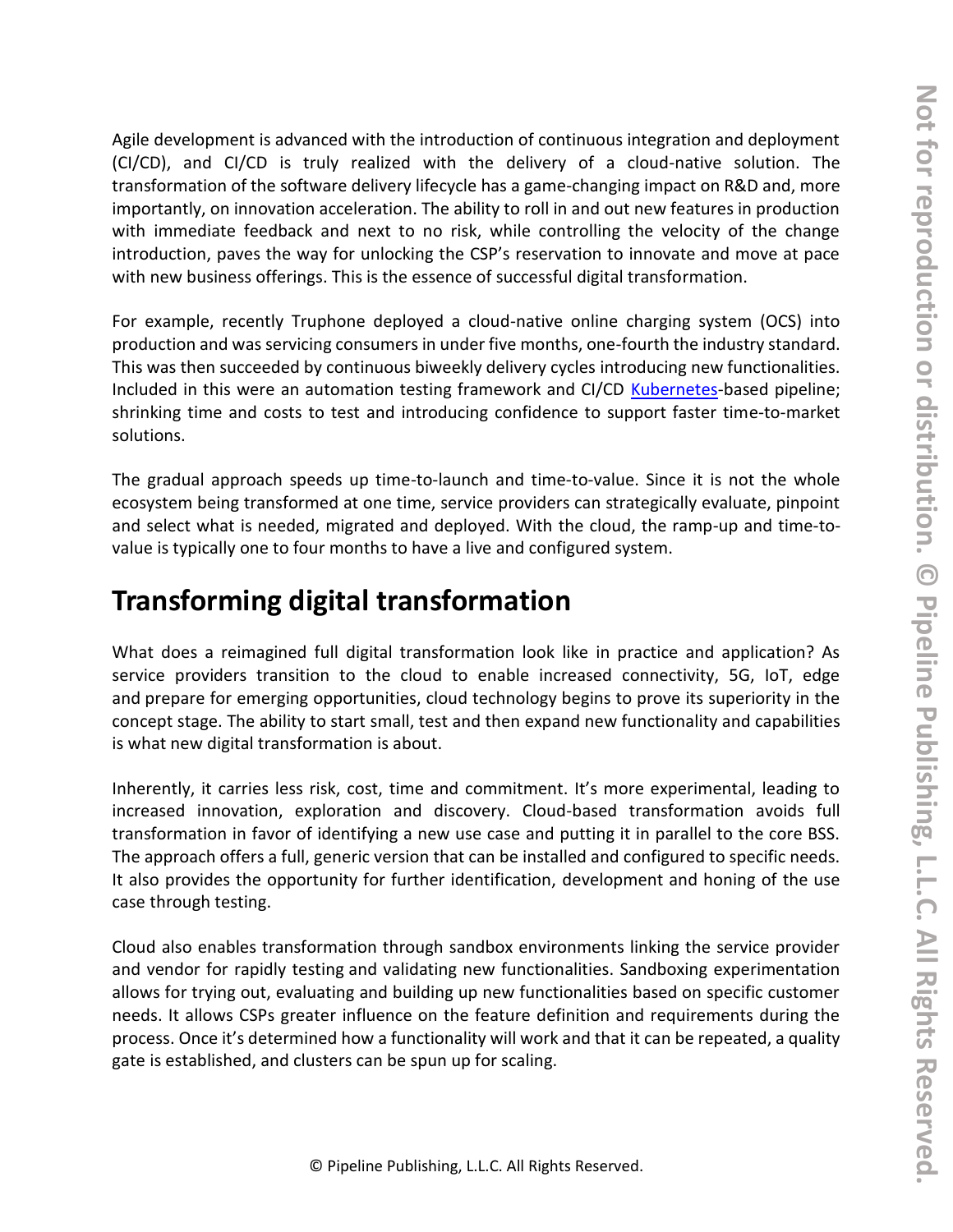Agile development is advanced with the introduction of continuous integration and deployment (CI/CD), and CI/CD is truly realized with the delivery of a cloud-native solution. The transformation of the software delivery lifecycle has a game-changing impact on R&D and, more importantly, on innovation acceleration. The ability to roll in and out new features in production with immediate feedback and next to no risk, while controlling the velocity of the change introduction, paves the way for unlocking the CSP's reservation to innovate and move at pace with new business offerings. This is the essence of successful digital transformation.

For example, recently Truphone deployed a cloud-native online charging system (OCS) into production and was servicing consumers in under five months, one-fourth the industry standard. This was then succeeded by continuous biweekly delivery cycles introducing new functionalities. Included in this were an automation testing framework and CI/CD [Kubernetes-](https://kubernetes.io/)based pipeline; shrinking time and costs to test and introducing confidence to support faster time-to-market solutions.

The gradual approach speeds up time-to-launch and time-to-value. Since it is not the whole ecosystem being transformed at one time, service providers can strategically evaluate, pinpoint and select what is needed, migrated and deployed. With the cloud, the ramp-up and time-tovalue is typically one to four months to have a live and configured system.

#### **Transforming digital transformation**

What does a reimagined full digital transformation look like in practice and application? As service providers transition to the cloud to enable increased connectivity, 5G, IoT, edge and prepare for emerging opportunities, cloud technology begins to prove its superiority in the concept stage. The ability to start small, test and then expand new functionality and capabilities is what new digital transformation is about.

Inherently, it carries less risk, cost, time and commitment. It's more experimental, leading to increased innovation, exploration and discovery. Cloud-based transformation avoids full transformation in favor of identifying a new use case and putting it in parallel to the core BSS. The approach offers a full, generic version that can be installed and configured to specific needs. It also provides the opportunity for further identification, development and honing of the use case through testing.

Cloud also enables transformation through sandbox environments linking the service provider and vendor for rapidly testing and validating new functionalities. Sandboxing experimentation allows for trying out, evaluating and building up new functionalities based on specific customer needs. It allows CSPs greater influence on the feature definition and requirements during the process. Once it's determined how a functionality will work and that it can be repeated, a quality gate is established, and clusters can be spun up for scaling.